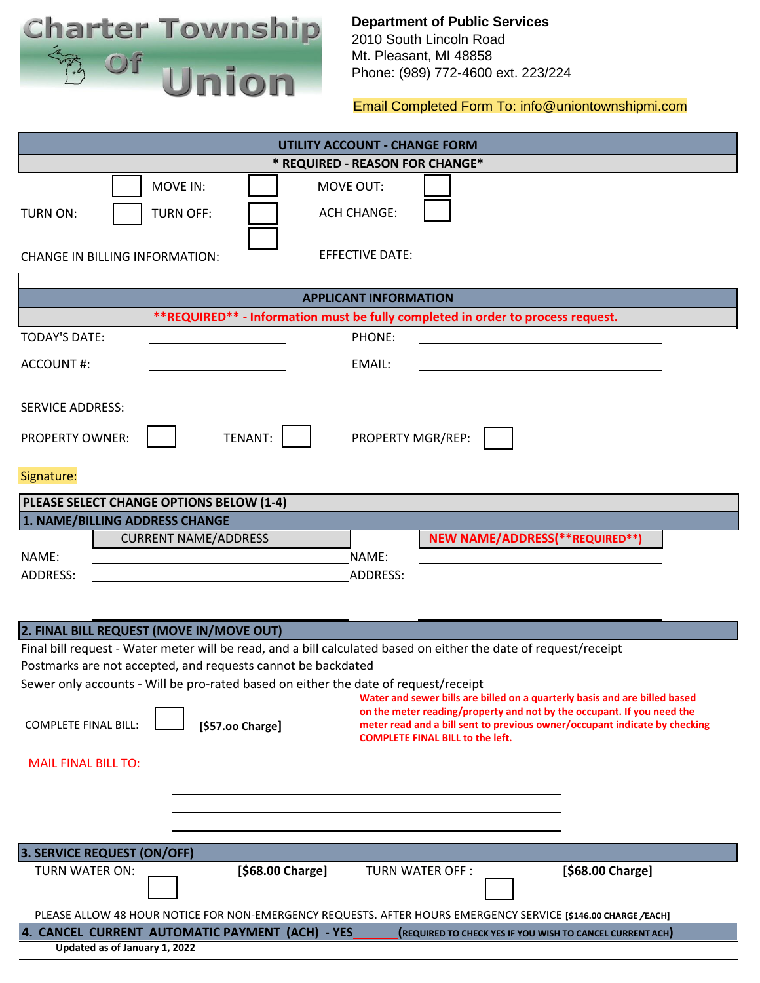

# **Department of Public Services** 2010 South Lincoln Road Mt. Pleasant, MI 48858

Phone: (989) 772-4600 ext. 223/224

[Email Completed Form To: info@uniontownshipmi.com](mailto:info@uniontownshipmi.com)

| <b>UTILITY ACCOUNT - CHANGE FORM</b>                                                                                                                                     |
|--------------------------------------------------------------------------------------------------------------------------------------------------------------------------|
| * REQUIRED - REASON FOR CHANGE*                                                                                                                                          |
| MOVE IN:<br>MOVE OUT:                                                                                                                                                    |
| <b>ACH CHANGE:</b><br><b>TURN OFF:</b><br><b>TURN ON:</b>                                                                                                                |
| <b>CHANGE IN BILLING INFORMATION:</b>                                                                                                                                    |
|                                                                                                                                                                          |
| <b>APPLICANT INFORMATION</b>                                                                                                                                             |
| **REQUIRED** - Information must be fully completed in order to process request.                                                                                          |
| <b>TODAY'S DATE:</b><br>PHONE:                                                                                                                                           |
| EMAIL:<br>ACCOUNT#:                                                                                                                                                      |
| <b>SERVICE ADDRESS:</b>                                                                                                                                                  |
| PROPERTY MGR/REP:<br>TENANT:<br><b>PROPERTY OWNER:</b>                                                                                                                   |
| Signature:                                                                                                                                                               |
| PLEASE SELECT CHANGE OPTIONS BELOW (1-4)                                                                                                                                 |
| 1. NAME/BILLING ADDRESS CHANGE                                                                                                                                           |
| <b>NEW NAME/ADDRESS(**REQUIRED**)</b><br><b>CURRENT NAME/ADDRESS</b>                                                                                                     |
| NAME:<br>NAME:                                                                                                                                                           |
| ADDRESS:<br>ADDRESS:                                                                                                                                                     |
|                                                                                                                                                                          |
| 2. FINAL BILL REQUEST (MOVE IN/MOVE OUT)                                                                                                                                 |
| Final bill request - Water meter will be read, and a bill calculated based on either the date of request/receipt                                                         |
| Postmarks are not accepted, and requests cannot be backdated                                                                                                             |
| Sewer only accounts - Will be pro-rated based on either the date of request/receipt                                                                                      |
| Water and sewer bills are billed on a quarterly basis and are billed based<br>on the meter reading/property and not by the occupant. If you need the                     |
| meter read and a bill sent to previous owner/occupant indicate by checking<br><b>COMPLETE FINAL BILL:</b><br>[\$57.00 Charge]<br><b>COMPLETE FINAL BILL to the left.</b> |
| <b>MAIL FINAL BILL TO:</b>                                                                                                                                               |
|                                                                                                                                                                          |
|                                                                                                                                                                          |
|                                                                                                                                                                          |
| 3. SERVICE REQUEST (ON/OFF)                                                                                                                                              |
| [\$68.00 Charge]<br>[\$68.00 Charge]<br>TURN WATER ON:<br>TURN WATER OFF :                                                                                               |
| PLEASE ALLOW 48 HOUR NOTICE FOR NON-EMERGENCY REQUESTS. AFTER HOURS EMERGENCY SERVICE [\$146.00 CHARGE/EACH]                                                             |
| 4. CANCEL CURRENT AUTOMATIC PAYMENT (ACH) - YES<br>(REQUIRED TO CHECK YES IF YOU WISH TO CANCEL CURRENT ACH)                                                             |
| Updated as of January 1, 2022                                                                                                                                            |
|                                                                                                                                                                          |